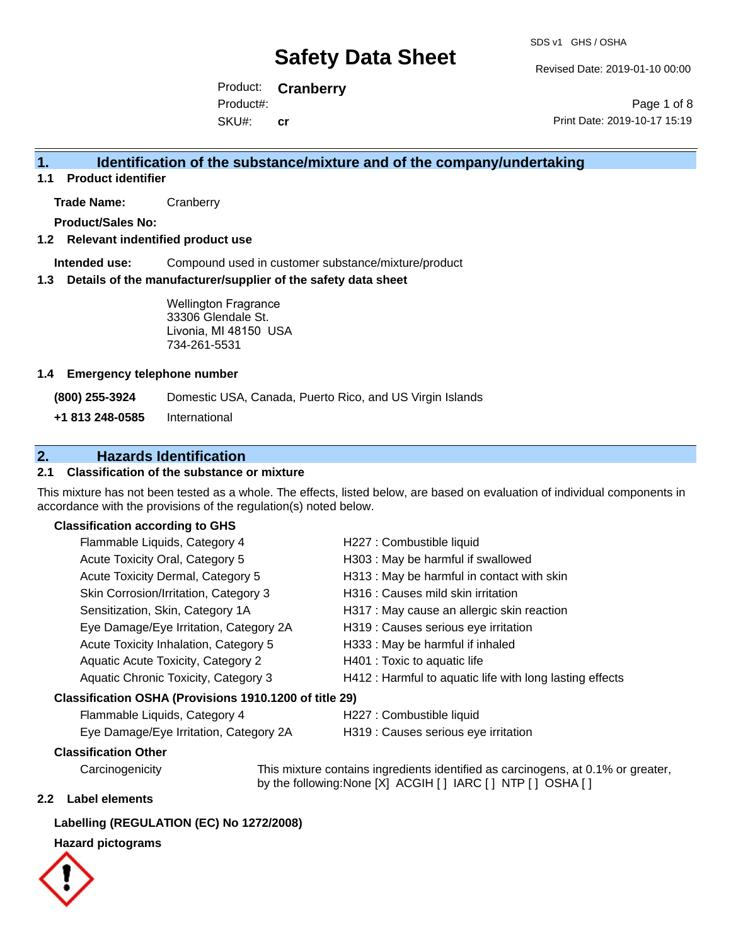Revised Date: 2019-01-10 00:00

Product: **Cranberry** SKU#: Product#: **cr**

Page 1 of 8 Print Date: 2019-10-17 15:19

### **1. Identification of the substance/mixture and of the company/undertaking**

**1.1 Product identifier**

**Trade Name:** Cranberry

**Product/Sales No:**

#### **1.2 Relevant indentified product use**

**Intended use:** Compound used in customer substance/mixture/product

#### **1.3 Details of the manufacturer/supplier of the safety data sheet**

Wellington Fragrance 33306 Glendale St. Livonia, MI 48150 USA 734-261-5531

#### **1.4 Emergency telephone number**

**(800) 255-3924** Domestic USA, Canada, Puerto Rico, and US Virgin Islands

**+1 813 248-0585** International

### **2. Hazards Identification**

### **2.1 Classification of the substance or mixture**

This mixture has not been tested as a whole. The effects, listed below, are based on evaluation of individual components in accordance with the provisions of the regulation(s) noted below.

#### **Classification according to GHS**

| Flammable Liquids, Category 4                          | H227 : Combustible liquid                                |
|--------------------------------------------------------|----------------------------------------------------------|
| Acute Toxicity Oral, Category 5                        | H303 : May be harmful if swallowed                       |
| Acute Toxicity Dermal, Category 5                      | H313 : May be harmful in contact with skin               |
| Skin Corrosion/Irritation, Category 3                  | H316 : Causes mild skin irritation                       |
| Sensitization, Skin, Category 1A                       | H317 : May cause an allergic skin reaction               |
| Eye Damage/Eye Irritation, Category 2A                 | H319 : Causes serious eye irritation                     |
| Acute Toxicity Inhalation, Category 5                  | H333: May be harmful if inhaled                          |
| Aquatic Acute Toxicity, Category 2                     | H401 : Toxic to aquatic life                             |
| Aquatic Chronic Toxicity, Category 3                   | H412 : Harmful to aquatic life with long lasting effects |
| Classification OSHA (Provisions 1910.1200 of title 29) |                                                          |
| Flammable Liquids, Category 4                          | H227 : Combustible liquid                                |

Eye Damage/Eye Irritation, Category 2A H319 : Causes serious eye irritation

#### **Classification Other**

Carcinogenicity This mixture contains ingredients identified as carcinogens, at 0.1% or greater, by the following:None [X] ACGIH [ ] IARC [ ] NTP [ ] OSHA [ ]

#### **2.2 Label elements**

#### **Labelling (REGULATION (EC) No 1272/2008)**

#### **Hazard pictograms**

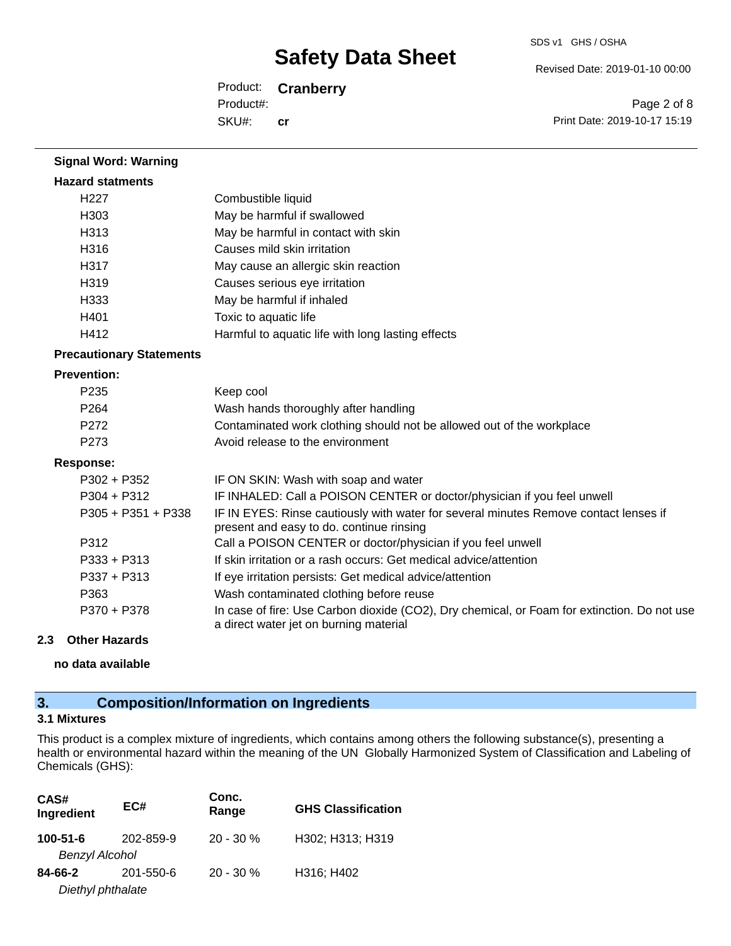Revised Date: 2019-01-10 00:00

Product: **Cranberry** SKU#: Product#: **cr**

Page 2 of 8 Print Date: 2019-10-17 15:19

| <b>Hazard statments</b>         |                                                                                                                                       |
|---------------------------------|---------------------------------------------------------------------------------------------------------------------------------------|
| H <sub>227</sub>                | Combustible liquid                                                                                                                    |
| H303                            | May be harmful if swallowed                                                                                                           |
| H313                            | May be harmful in contact with skin                                                                                                   |
| H316                            | Causes mild skin irritation                                                                                                           |
| H317                            | May cause an allergic skin reaction                                                                                                   |
| H319                            | Causes serious eye irritation                                                                                                         |
| H333                            | May be harmful if inhaled                                                                                                             |
| H401                            | Toxic to aquatic life                                                                                                                 |
| H412                            | Harmful to aquatic life with long lasting effects                                                                                     |
| <b>Precautionary Statements</b> |                                                                                                                                       |
| <b>Prevention:</b>              |                                                                                                                                       |
| P235                            | Keep cool                                                                                                                             |
| P <sub>264</sub>                | Wash hands thoroughly after handling                                                                                                  |
| P <sub>272</sub>                | Contaminated work clothing should not be allowed out of the workplace                                                                 |
| P273                            | Avoid release to the environment                                                                                                      |
| <b>Response:</b>                |                                                                                                                                       |
| $P302 + P352$                   | IF ON SKIN: Wash with soap and water                                                                                                  |
| $P304 + P312$                   | IF INHALED: Call a POISON CENTER or doctor/physician if you feel unwell                                                               |
| $P305 + P351 + P338$            | IF IN EYES: Rinse cautiously with water for several minutes Remove contact lenses if<br>present and easy to do. continue rinsing      |
| P312                            | Call a POISON CENTER or doctor/physician if you feel unwell                                                                           |
| $P333 + P313$                   | If skin irritation or a rash occurs: Get medical advice/attention                                                                     |
| $P337 + P313$                   | If eye irritation persists: Get medical advice/attention                                                                              |
| P363                            | Wash contaminated clothing before reuse                                                                                               |
| P370 + P378                     | In case of fire: Use Carbon dioxide (CO2), Dry chemical, or Foam for extinction. Do not use<br>a direct water jet on burning material |
| <b>Other Hazards</b><br>2.3     |                                                                                                                                       |

**no data available**

**Signal Word: Warning**

### **3. Composition/Information on Ingredients**

### **3.1 Mixtures**

This product is a complex mixture of ingredients, which contains among others the following substance(s), presenting a health or environmental hazard within the meaning of the UN Globally Harmonized System of Classification and Labeling of Chemicals (GHS):

| CAS#<br>Ingredient                      | EC#       | Conc.<br>Range | <b>GHS Classification</b> |
|-----------------------------------------|-----------|----------------|---------------------------|
| $100 - 51 - 6$<br><b>Benzyl Alcohol</b> | 202-859-9 | $20 - 30 \%$   | H302; H313; H319          |
| 84-66-2<br>Diethyl phthalate            | 201-550-6 | $20 - 30 \%$   | H316; H402                |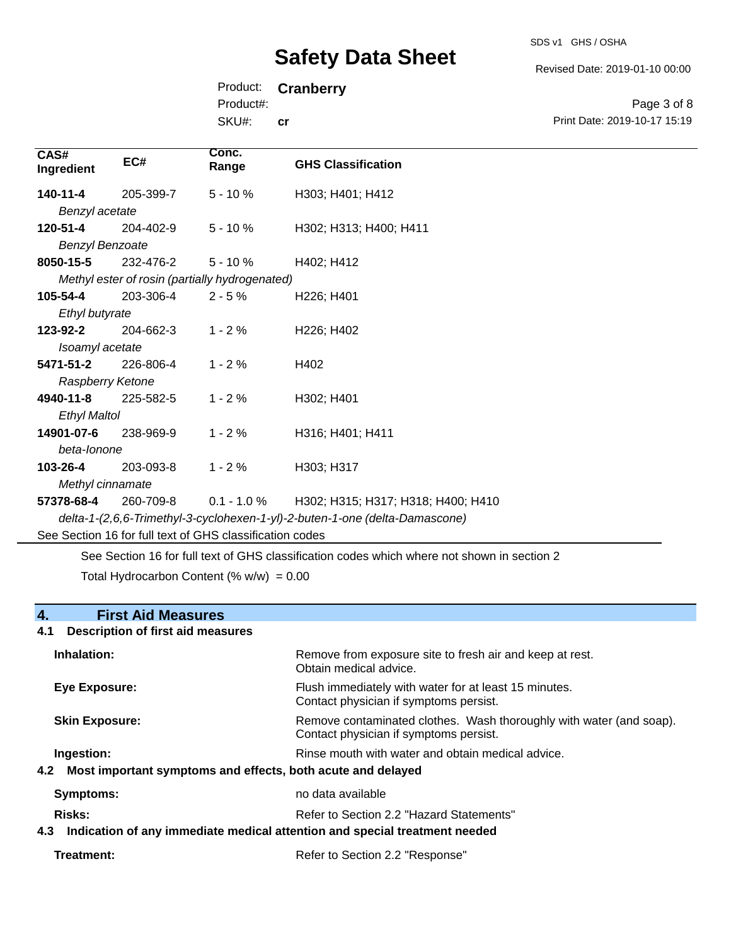SDS v1 GHS / OSHA

Revised Date: 2019-01-10 00:00

Print Date: 2019-10-17 15:19

Page 3 of 8

Product: **Cranberry**

Product#:

SKU#: **cr**

| CAS#<br>Ingredient     | EC#                                                      | Conc.<br>Range                                 | <b>GHS Classification</b>                                                   |
|------------------------|----------------------------------------------------------|------------------------------------------------|-----------------------------------------------------------------------------|
| 140-11-4               | 205-399-7                                                | $5 - 10%$                                      | H303; H401; H412                                                            |
| Benzyl acetate         |                                                          |                                                |                                                                             |
| 120-51-4               | 204-402-9                                                | $5 - 10%$                                      | H302; H313; H400; H411                                                      |
| <b>Benzyl Benzoate</b> |                                                          |                                                |                                                                             |
| 8050-15-5              | 232-476-2                                                | $5 - 10%$                                      | H402; H412                                                                  |
|                        |                                                          | Methyl ester of rosin (partially hydrogenated) |                                                                             |
| 105-54-4               | 203-306-4                                                | $2 - 5%$                                       | H226; H401                                                                  |
| Ethyl butyrate         |                                                          |                                                |                                                                             |
| 123-92-2               | 204-662-3                                                | $1 - 2%$                                       | H <sub>226</sub> ; H <sub>402</sub>                                         |
| Isoamyl acetate        |                                                          |                                                |                                                                             |
| 5471-51-2              | 226-806-4                                                | $1 - 2%$                                       | H402                                                                        |
| Raspberry Ketone       |                                                          |                                                |                                                                             |
| 4940-11-8              | 225-582-5                                                | $1 - 2%$                                       | H302; H401                                                                  |
| <b>Ethyl Maltol</b>    |                                                          |                                                |                                                                             |
| 14901-07-6             | 238-969-9                                                | $1 - 2%$                                       | H316; H401; H411                                                            |
| beta-lonone            |                                                          |                                                |                                                                             |
| 103-26-4               | 203-093-8                                                | $1 - 2%$                                       | H303; H317                                                                  |
| Methyl cinnamate       |                                                          |                                                |                                                                             |
| 57378-68-4             | 260-709-8                                                | $0.1 - 1.0 \%$                                 | H302; H315; H317; H318; H400; H410                                          |
|                        |                                                          |                                                | delta-1-(2,6,6-Trimethyl-3-cyclohexen-1-yl)-2-buten-1-one (delta-Damascone) |
|                        | See Section 16 for full text of GHS classification codes |                                                |                                                                             |

See Section 16 for full text of GHS classification codes which where not shown in section 2

Total Hydrocarbon Content (%  $w/w$ ) = 0.00

## **4. First Aid Measures 4.1 Description of first aid measures Inhalation:** Remove from exposure site to fresh air and keep at rest. Obtain medical advice. **Eye Exposure:** FIUSh immediately with water for at least 15 minutes. Contact physician if symptoms persist. **Skin Exposure: Remove contaminated clothes. Wash thoroughly with water (and soap).** Remove contaminated clothes. Wash thoroughly with water (and soap). Contact physician if symptoms persist. **Ingestion: Rinse mouth with water and obtain medical advice. Rinse mouth with water and obtain medical advice. 4.2 Most important symptoms and effects, both acute and delayed Symptoms:** no data available **Risks:** Refer to Section 2.2 "Hazard Statements" **4.3 Indication of any immediate medical attention and special treatment needed**

**Treatment:** Refer to Section 2.2 "Response"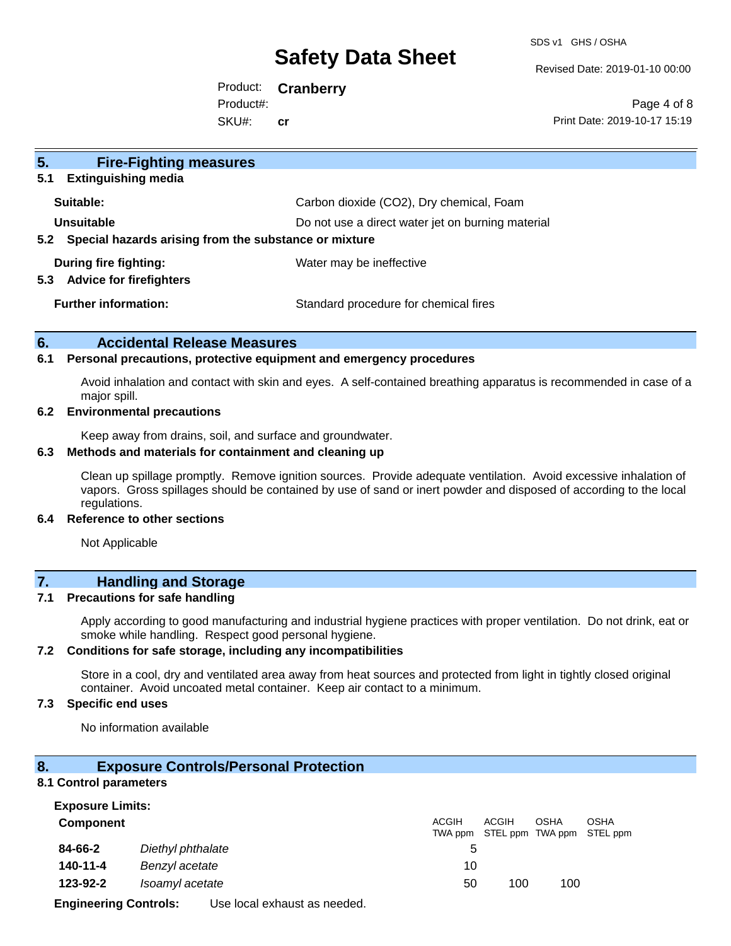SDS v1 GHS / OSHA

Revised Date: 2019-01-10 00:00

Product: **Cranberry** SKU#: Product#: **cr**

Page 4 of 8 Print Date: 2019-10-17 15:19

| 5 <sub>1</sub><br><b>Fire-Fighting measures</b>                        |                                                   |  |
|------------------------------------------------------------------------|---------------------------------------------------|--|
| <b>Extinguishing media</b><br>5.1                                      |                                                   |  |
| Suitable:                                                              | Carbon dioxide (CO2), Dry chemical, Foam          |  |
| Unsuitable                                                             | Do not use a direct water jet on burning material |  |
| Special hazards arising from the substance or mixture<br>$5.2^{\circ}$ |                                                   |  |
| During fire fighting:<br><b>Advice for firefighters</b><br>5.3         | Water may be ineffective                          |  |
| <b>Further information:</b>                                            | Standard procedure for chemical fires             |  |

#### **6. Accidental Release Measures**

#### **6.1 Personal precautions, protective equipment and emergency procedures**

Avoid inhalation and contact with skin and eyes. A self-contained breathing apparatus is recommended in case of a major spill.

#### **6.2 Environmental precautions**

Keep away from drains, soil, and surface and groundwater.

#### **6.3 Methods and materials for containment and cleaning up**

Clean up spillage promptly. Remove ignition sources. Provide adequate ventilation. Avoid excessive inhalation of vapors. Gross spillages should be contained by use of sand or inert powder and disposed of according to the local regulations.

#### **6.4 Reference to other sections**

Not Applicable

## **7. Handling and Storage**

#### **7.1 Precautions for safe handling**

Apply according to good manufacturing and industrial hygiene practices with proper ventilation. Do not drink, eat or smoke while handling. Respect good personal hygiene.

#### **7.2 Conditions for safe storage, including any incompatibilities**

Store in a cool, dry and ventilated area away from heat sources and protected from light in tightly closed original container. Avoid uncoated metal container. Keep air contact to a minimum.

#### **7.3 Specific end uses**

No information available

#### **8. Exposure Controls/Personal Protection**

#### **8.1 Control parameters**

| <b>ACGIH</b> | <b>OSHA</b> | OSHA                              |
|--------------|-------------|-----------------------------------|
|              |             | TWA ppm STEL ppm TWA ppm STEL ppm |
|              |             |                                   |
|              |             |                                   |
| 100          | 100         |                                   |
|              |             |                                   |

**Engineering Controls:** Use local exhaust as needed.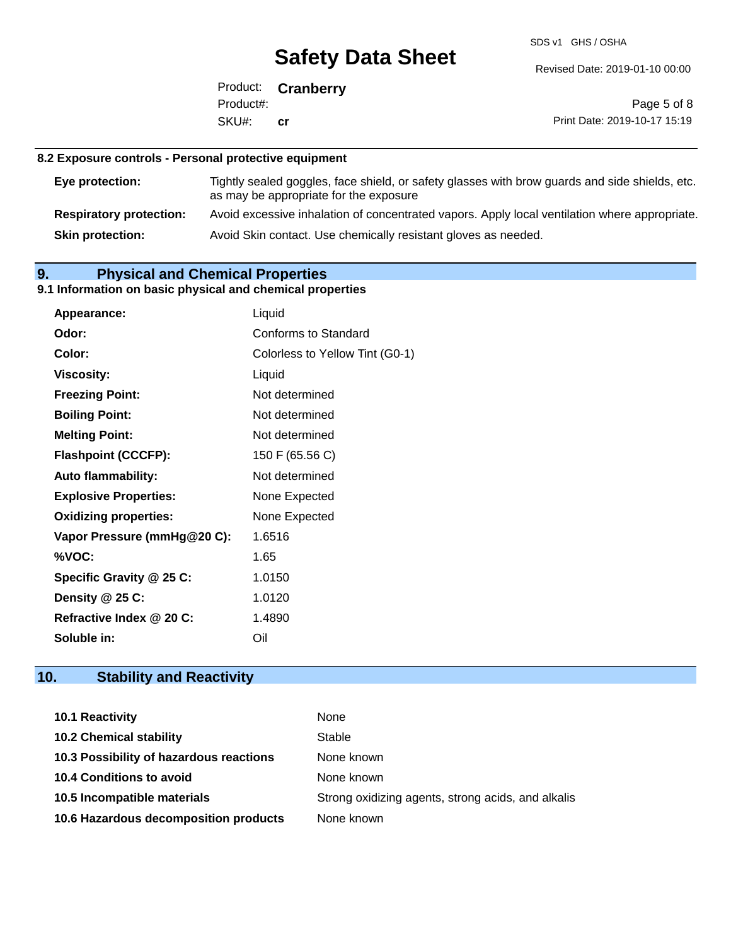SDS v1 GHS / OSHA

Revised Date: 2019-01-10 00:00

Product: **Cranberry** SKU#: Product#: **cr**

Page 5 of 8 Print Date: 2019-10-17 15:19

### **8.2 Exposure controls - Personal protective equipment**

| Eye protection:                | Tightly sealed goggles, face shield, or safety glasses with brow guards and side shields, etc.<br>as may be appropriate for the exposure |
|--------------------------------|------------------------------------------------------------------------------------------------------------------------------------------|
| <b>Respiratory protection:</b> | Avoid excessive inhalation of concentrated vapors. Apply local ventilation where appropriate.                                            |
| <b>Skin protection:</b>        | Avoid Skin contact. Use chemically resistant gloves as needed.                                                                           |

## **9. Physical and Chemical Properties**

### **9.1 Information on basic physical and chemical properties**

| Appearance:                  | Liquid                          |
|------------------------------|---------------------------------|
| Odor:                        | <b>Conforms to Standard</b>     |
| Color:                       | Colorless to Yellow Tint (G0-1) |
| <b>Viscosity:</b>            | Liquid                          |
| <b>Freezing Point:</b>       | Not determined                  |
| <b>Boiling Point:</b>        | Not determined                  |
| <b>Melting Point:</b>        | Not determined                  |
| <b>Flashpoint (CCCFP):</b>   | 150 F (65.56 C)                 |
| <b>Auto flammability:</b>    | Not determined                  |
| <b>Explosive Properties:</b> | None Expected                   |
| <b>Oxidizing properties:</b> | None Expected                   |
| Vapor Pressure (mmHg@20 C):  | 1.6516                          |
| %VOC:                        | 1.65                            |
| Specific Gravity @ 25 C:     | 1.0150                          |
| Density @ 25 C:              | 1.0120                          |
| Refractive Index @ 20 C:     | 1.4890                          |
| Soluble in:                  | Oil                             |

## **10. Stability and Reactivity**

| <b>10.1 Reactivity</b>                  | None                                               |
|-----------------------------------------|----------------------------------------------------|
| <b>10.2 Chemical stability</b>          | Stable                                             |
| 10.3 Possibility of hazardous reactions | None known                                         |
| <b>10.4 Conditions to avoid</b>         | None known                                         |
| 10.5 Incompatible materials             | Strong oxidizing agents, strong acids, and alkalis |
| 10.6 Hazardous decomposition products   | None known                                         |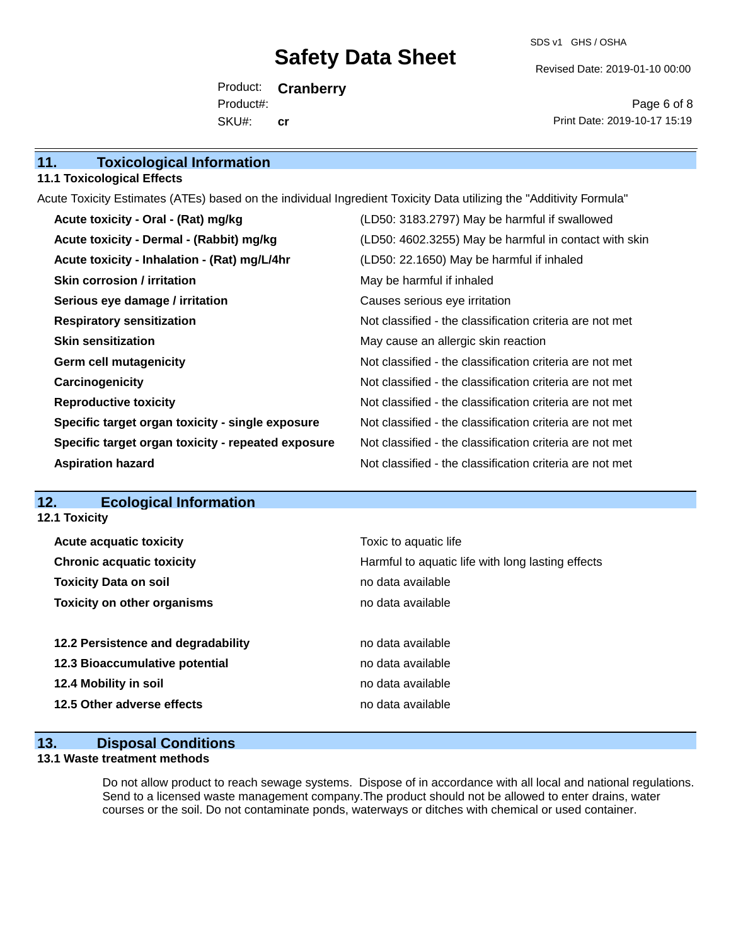SDS v1 GHS / OSHA

Revised Date: 2019-01-10 00:00

Product: **Cranberry** SKU#: Product#: **cr**

Page 6 of 8 Print Date: 2019-10-17 15:19

| 11.<br><b>Toxicological Information</b> |  |
|-----------------------------------------|--|
|-----------------------------------------|--|

#### **11.1 Toxicological Effects**

Acute Toxicity Estimates (ATEs) based on the individual Ingredient Toxicity Data utilizing the "Additivity Formula"

| Acute toxicity - Oral - (Rat) mg/kg                | (LD50: 3183.2797) May be harmful if swallowed            |
|----------------------------------------------------|----------------------------------------------------------|
| Acute toxicity - Dermal - (Rabbit) mg/kg           | (LD50: 4602.3255) May be harmful in contact with skin    |
| Acute toxicity - Inhalation - (Rat) mg/L/4hr       | (LD50: 22.1650) May be harmful if inhaled                |
| Skin corrosion / irritation                        | May be harmful if inhaled                                |
| Serious eye damage / irritation                    | Causes serious eye irritation                            |
| <b>Respiratory sensitization</b>                   | Not classified - the classification criteria are not met |
| <b>Skin sensitization</b>                          | May cause an allergic skin reaction                      |
| <b>Germ cell mutagenicity</b>                      | Not classified - the classification criteria are not met |
| Carcinogenicity                                    | Not classified - the classification criteria are not met |
| <b>Reproductive toxicity</b>                       | Not classified - the classification criteria are not met |
| Specific target organ toxicity - single exposure   | Not classified - the classification criteria are not met |
| Specific target organ toxicity - repeated exposure | Not classified - the classification criteria are not met |
| <b>Aspiration hazard</b>                           | Not classified - the classification criteria are not met |

### **12. Ecological Information**

**12.1 Toxicity**

| <b>Acute acquatic toxicity</b>     | Toxic to aquatic life                             |
|------------------------------------|---------------------------------------------------|
| <b>Chronic acquatic toxicity</b>   | Harmful to aquatic life with long lasting effects |
| <b>Toxicity Data on soil</b>       | no data available                                 |
| <b>Toxicity on other organisms</b> | no data available                                 |
|                                    |                                                   |
| 12.2 Persistence and degradability | no data available                                 |
| 12.3 Bioaccumulative potential     | no data available                                 |
| 12.4 Mobility in soil              | no data available                                 |
| 12.5 Other adverse effects         | no data available                                 |
|                                    |                                                   |

### **13. Disposal Conditions**

#### **13.1 Waste treatment methods**

Do not allow product to reach sewage systems. Dispose of in accordance with all local and national regulations. Send to a licensed waste management company.The product should not be allowed to enter drains, water courses or the soil. Do not contaminate ponds, waterways or ditches with chemical or used container.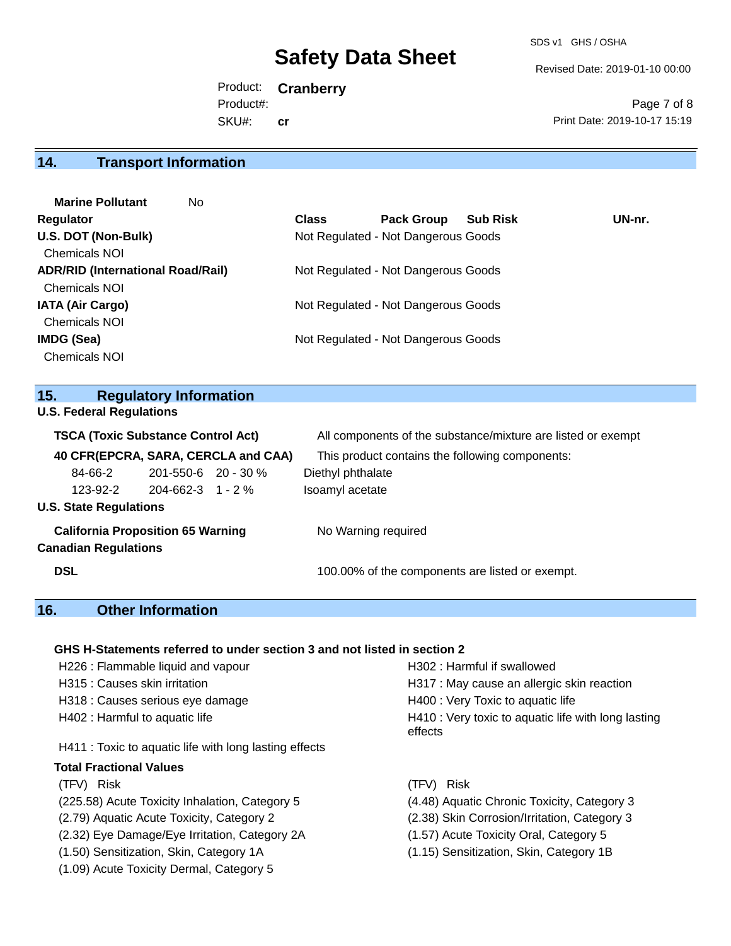SDS v1 GHS / OSHA

Revised Date: 2019-01-10 00:00

Product: **Cranberry** SKU#: Product#: **cr**

Page 7 of 8 Print Date: 2019-10-17 15:19

### **14. Transport Information**

| <b>Class</b> | <b>Pack Group</b> | <b>Sub Risk</b> | UN-nr.                                                                                                                                                   |
|--------------|-------------------|-----------------|----------------------------------------------------------------------------------------------------------------------------------------------------------|
|              |                   |                 |                                                                                                                                                          |
|              |                   |                 |                                                                                                                                                          |
|              |                   |                 |                                                                                                                                                          |
|              |                   |                 |                                                                                                                                                          |
|              |                   |                 |                                                                                                                                                          |
|              |                   |                 |                                                                                                                                                          |
|              |                   |                 |                                                                                                                                                          |
|              |                   |                 |                                                                                                                                                          |
|              |                   |                 | Not Regulated - Not Dangerous Goods<br>Not Regulated - Not Dangerous Goods<br>Not Regulated - Not Dangerous Goods<br>Not Regulated - Not Dangerous Goods |

## **15. Regulatory Information**

|  | <b>U.S. Federal Regulations</b> |
|--|---------------------------------|
|  |                                 |

| <b>TSCA (Toxic Substance Control Act)</b>                               |                           | All components of the substance/mixture are listed or exempt |
|-------------------------------------------------------------------------|---------------------------|--------------------------------------------------------------|
| 40 CFR(EPCRA, SARA, CERCLA and CAA)                                     |                           | This product contains the following components:              |
| 84-66-2                                                                 | $201 - 550 - 6$ 20 - 30 % | Diethyl phthalate                                            |
| 123-92-2                                                                | $204 - 662 - 3$ 1 - 2 %   | Isoamyl acetate                                              |
| <b>U.S. State Regulations</b>                                           |                           |                                                              |
| <b>California Proposition 65 Warning</b><br><b>Canadian Regulations</b> |                           | No Warning required                                          |
| <b>DSL</b>                                                              |                           | 100.00% of the components are listed or exempt.              |

## **16. Other Information**

#### **GHS H-Statements referred to under section 3 and not listed in section 2**

| H226 : Flammable liquid and vapour                     | H302: Harmful if swallowed                                     |
|--------------------------------------------------------|----------------------------------------------------------------|
| H315 : Causes skin irritation                          | H317 : May cause an allergic skin reaction                     |
| H318 : Causes serious eye damage                       | H400 : Very Toxic to aquatic life                              |
| H402 : Harmful to aquatic life                         | H410 : Very toxic to aquatic life with long lasting<br>effects |
| H411 : Toxic to aquatic life with long lasting effects |                                                                |
| Total Fractional Values                                |                                                                |

(225.58) Acute Toxicity Inhalation, Category 5 (4.48) Aquatic Chronic Toxicity, Category 3

- (2.79) Aquatic Acute Toxicity, Category 2 (2.38) Skin Corrosion/Irritation, Category 3
- (2.32) Eye Damage/Eye Irritation, Category 2A (1.57) Acute Toxicity Oral, Category 5
- (1.50) Sensitization, Skin, Category 1A (1.15) Sensitization, Skin, Category 1B
- (1.09) Acute Toxicity Dermal, Category 5
- (TFV) Risk (TFV) Risk
	-
	-
	-
	-